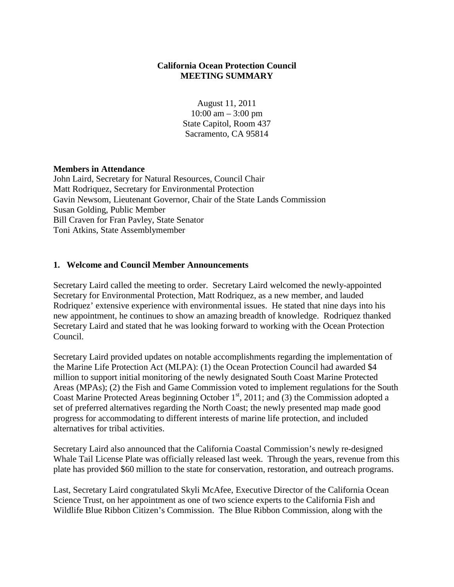## **California Ocean Protection Council MEETING SUMMARY**

August 11, 2011  $10:00$  am  $-3:00$  pm State Capitol, Room 437 Sacramento, CA 95814

#### **Members in Attendance**

John Laird, Secretary for Natural Resources, Council Chair Matt Rodriquez, Secretary for Environmental Protection Gavin Newsom, Lieutenant Governor, Chair of the State Lands Commission Susan Golding, Public Member Bill Craven for Fran Pavley, State Senator Toni Atkins, State Assemblymember

#### **1. Welcome and Council Member Announcements**

Secretary Laird called the meeting to order. Secretary Laird welcomed the newly-appointed Secretary for Environmental Protection, Matt Rodriquez, as a new member, and lauded Rodriquez' extensive experience with environmental issues. He stated that nine days into his new appointment, he continues to show an amazing breadth of knowledge. Rodriquez thanked Secretary Laird and stated that he was looking forward to working with the Ocean Protection Council.

Secretary Laird provided updates on notable accomplishments regarding the implementation of the Marine Life Protection Act (MLPA): (1) the Ocean Protection Council had awarded \$4 million to support initial monitoring of the newly designated South Coast Marine Protected Areas (MPAs); (2) the Fish and Game Commission voted to implement regulations for the South Coast Marine Protected Areas beginning October  $1<sup>st</sup>$ , 2011; and (3) the Commission adopted a set of preferred alternatives regarding the North Coast; the newly presented map made good progress for accommodating to different interests of marine life protection, and included alternatives for tribal activities.

Secretary Laird also announced that the California Coastal Commission's newly re-designed Whale Tail License Plate was officially released last week. Through the years, revenue from this plate has provided \$60 million to the state for conservation, restoration, and outreach programs.

Last, Secretary Laird congratulated Skyli McAfee, Executive Director of the California Ocean Science Trust, on her appointment as one of two science experts to the California Fish and Wildlife Blue Ribbon Citizen's Commission. The Blue Ribbon Commission, along with the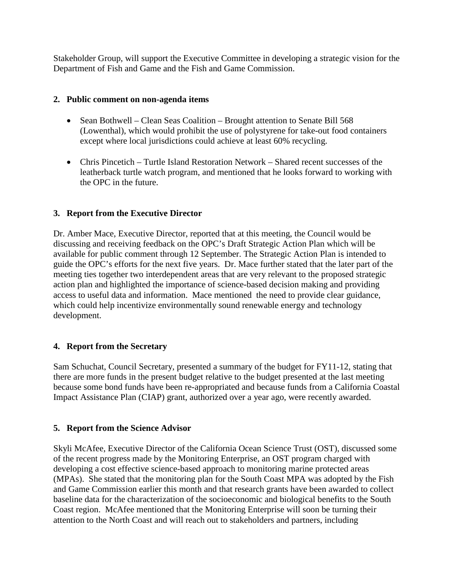Stakeholder Group, will support the Executive Committee in developing a strategic vision for the Department of Fish and Game and the Fish and Game Commission.

#### **2. Public comment on non-agenda items**

- Sean Bothwell Clean Seas Coalition Brought attention to Senate Bill 568 (Lowenthal), which would prohibit the use of polystyrene for take-out food containers except where local jurisdictions could achieve at least 60% recycling.
- Chris Pincetich Turtle Island Restoration Network Shared recent successes of the leatherback turtle watch program, and mentioned that he looks forward to working with the OPC in the future.

## **3. [Report](http://opc.ca.gov/webmaster/ftp/pdf/agenda_items/20110811/3.%20Directors%20report/Aug2011_OPCMtg_Item3_DirectorsReport_FINAL.pdf) from the Executive Director**

Dr. Amber Mace, Executive Director, reported that at this meeting, the Council would be discussing and receiving feedback on the OPC's Draft Strategic Action Plan which will be available for public comment through 12 September. The Strategic Action Plan is intended to guide the OPC's efforts for the next five years. Dr. Mace further stated that the later part of the meeting ties together two interdependent areas that are very relevant to the proposed strategic action plan and highlighted the importance of science-based decision making and providing access to useful data and information. Mace mentioned the need to provide clear guidance, which could help incentivize environmentally sound renewable energy and technology development.

## **4. Report from the Secretary**

Sam Schuchat, Council Secretary, presented a summary of the budget for FY11-12, stating that there are more funds in the present budget relative to the budget presented at the last meeting because some bond funds have been re-appropriated and because funds from a California Coastal Impact Assistance Plan (CIAP) grant, authorized over a year ago, were recently awarded.

## **5. Report from the Science Advisor**

Skyli McAfee, Executive Director of the California Ocean Science Trust (OST), discussed some of the recent progress made by the Monitoring Enterprise, an OST program charged with developing a cost effective science-based approach to monitoring marine protected areas (MPAs). She stated that the monitoring plan for the South Coast MPA was adopted by the Fish and Game Commission earlier this month and that research grants have been awarded to collect baseline data for the characterization of the socioeconomic and biological benefits to the South Coast region. McAfee mentioned that the Monitoring Enterprise will soon be turning their attention to the North Coast and will reach out to stakeholders and partners, including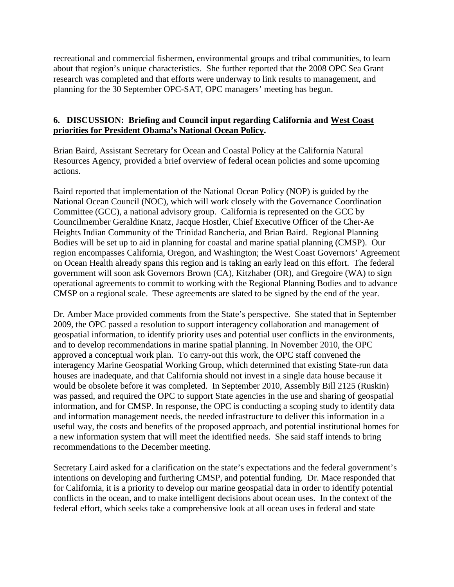recreational and commercial fishermen, environmental groups and tribal communities, to learn about that region's unique characteristics. She further reported that the 2008 OPC Sea Grant research was completed and that efforts were underway to link results to management, and planning for the 30 September OPC-SAT, OPC managers' meeting has begun.

#### **6. DISCUSSION: Briefing and Council input regarding California and West [Coast](http://www.opc.ca.gov/webmaster/ftp/pdf/agenda_items/20110811/6.%20National%20Ocean%20Policy/Aug2011_OPCMtg_Item06_NOPMemo_FINAL.pdf) priorities for [President](http://www.opc.ca.gov/webmaster/ftp/pdf/agenda_items/20110811/6.%20National%20Ocean%20Policy/Aug2011_OPCMtg_Item06_NOPMemo_FINAL.pdf) Obama's National Ocean Policy.**

Brian Baird, Assistant Secretary for Ocean and Coastal Policy at the California Natural Resources Agency, provided a brief overview of federal ocean policies and some upcoming actions.

Baird reported that implementation of the National Ocean Policy (NOP) is guided by the National Ocean Council (NOC), which will work closely with the Governance Coordination Committee (GCC), a national advisory group. California is represented on the GCC by Councilmember Geraldine Knatz, Jacque Hostler, Chief Executive Officer of the Cher-Ae Heights Indian Community of the Trinidad Rancheria, and Brian Baird. Regional Planning Bodies will be set up to aid in planning for coastal and marine spatial planning (CMSP). Our region encompasses California, Oregon, and Washington; the West Coast Governors' Agreement on Ocean Health already spans this region and is taking an early lead on this effort. The federal government will soon ask Governors Brown (CA), Kitzhaber (OR), and Gregoire (WA) to sign operational agreements to commit to working with the Regional Planning Bodies and to advance CMSP on a regional scale. These agreements are slated to be signed by the end of the year.

Dr. Amber Mace provided comments from the State's perspective. She stated that in September 2009, the OPC passed a resolution to support interagency collaboration and management of geospatial information, to identify priority uses and potential user conflicts in the environments, and to develop recommendations in marine spatial planning. In November 2010, the OPC approved a conceptual work plan. To carry-out this work, the OPC staff convened the interagency Marine Geospatial Working Group, which determined that existing State-run data houses are inadequate, and that California should not invest in a single data house because it would be obsolete before it was completed. In September 2010, Assembly Bill 2125 (Ruskin) was passed, and required the OPC to support State agencies in the use and sharing of geospatial information, and for CMSP. In response, the OPC is conducting a scoping study to identify data and information management needs, the needed infrastructure to deliver this information in a useful way, the costs and benefits of the proposed approach, and potential institutional homes for a new information system that will meet the identified needs. She said staff intends to bring recommendations to the December meeting.

Secretary Laird asked for a clarification on the state's expectations and the federal government's intentions on developing and furthering CMSP, and potential funding. Dr. Mace responded that for California, it is a priority to develop our marine geospatial data in order to identify potential conflicts in the ocean, and to make intelligent decisions about ocean uses. In the context of the federal effort, which seeks take a comprehensive look at all ocean uses in federal and state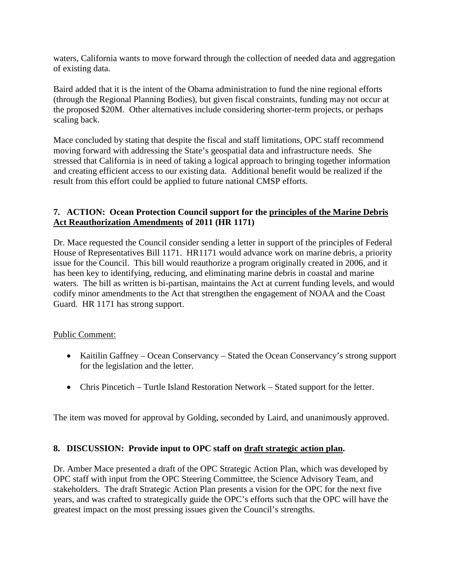waters, California wants to move forward through the collection of needed data and aggregation of existing data.

Baird added that it is the intent of the Obama administration to fund the nine regional efforts (through the Regional Planning Bodies), but given fiscal constraints, funding may not occur at the proposed \$20M. Other alternatives include considering shorter-term projects, or perhaps scaling back.

Mace concluded by stating that despite the fiscal and staff limitations, OPC staff recommend moving forward with addressing the State's geospatial data and infrastructure needs. She stressed that California is in need of taking a logical approach to bringing together information and creating efficient access to our existing data. Additional benefit would be realized if the result from this effort could be applied to future national CMSP efforts.

## **7. ACTION: Ocean Protection Council support for the [principles](http://www.opc.ca.gov/webmaster/ftp/pdf/agenda_items/20110811/7.%20Marine%20Debris/Aug2011_OPCMtg_Item07_HR1171Memo_FINAL.pdf) of the Marine Debris Act [Reauthorization](http://www.opc.ca.gov/webmaster/ftp/pdf/agenda_items/20110811/7.%20Marine%20Debris/Aug2011_OPCMtg_Item07_HR1171Memo_FINAL.pdf) Amendments of 2011 (HR 1171)**

Dr. Mace requested the Council consider sending a letter in support of the principles of Federal House of Representatives Bill 1171. HR1171 would advance work on marine debris, a priority issue for the Council. This bill would reauthorize a program originally created in 2006, and it has been key to identifying, reducing, and eliminating marine debris in coastal and marine waters. The bill as written is bi-partisan, maintains the Act at current funding levels, and would codify minor amendments to the Act that strengthen the engagement of NOAA and the Coast Guard. HR 1171 has strong support.

## Public Comment:

- Kaitilin Gaffney Ocean Conservancy Stated the Ocean Conservancy's strong support for the legislation and the letter.
- Chris Pincetich Turtle Island Restoration Network Stated support for the letter.

The item was moved for approval by Golding, seconded by Laird, and unanimously approved.

# **8. DISCUSSION: Provide input to OPC staff on draft [strategic](http://www.opc.ca.gov/webmaster/ftp/pdf/agenda_items/20110811/8.%20Strategic%20Plan/Aug2011_OPCMtg_Item08_StratPlanMemo_FINAL.pdf) action plan.**

Dr. Amber Mace presented a draft of the OPC Strategic Action Plan, which was developed by OPC staff with input from the OPC Steering Committee, the Science Advisory Team, and stakeholders. The draft Strategic Action Plan presents a vision for the OPC for the next five years, and was crafted to strategically guide the OPC's efforts such that the OPC will have the greatest impact on the most pressing issues given the Council's strengths.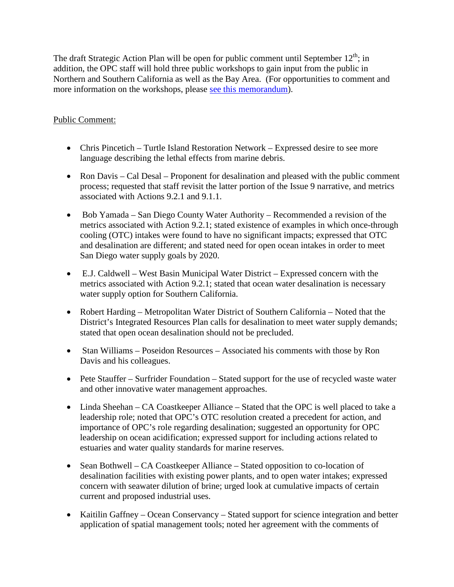The draft Strategic Action Plan will be open for public comment until September  $12<sup>th</sup>$ ; in addition, the OPC staff will hold three public workshops to gain input from the public in Northern and Southern California as well as the Bay Area. (For opportunities to comment and more information on the workshops, please see this [memorandum\)](http://www.opc.ca.gov/2011/08/ocean-protection-council-draft-strategic-action-plan-available-for-public-comment/).

# Public Comment:

- Chris Pincetich Turtle Island Restoration Network Expressed desire to see more language describing the lethal effects from marine debris.
- Ron Davis Cal Desal Proponent for desalination and pleased with the public comment process; requested that staff revisit the latter portion of the Issue 9 narrative, and metrics associated with Actions 9.2.1 and 9.1.1.
- Bob Yamada San Diego County Water Authority Recommended a revision of the metrics associated with Action 9.2.1; stated existence of examples in which once-through cooling (OTC) intakes were found to have no significant impacts; expressed that OTC and desalination are different; and stated need for open ocean intakes in order to meet San Diego water supply goals by 2020.
- E.J. Caldwell West Basin Municipal Water District Expressed concern with the metrics associated with Action 9.2.1; stated that ocean water desalination is necessary water supply option for Southern California.
- Robert Harding Metropolitan Water District of Southern California Noted that the District's Integrated Resources Plan calls for desalination to meet water supply demands; stated that open ocean desalination should not be precluded.
- Stan Williams Poseidon Resources Associated his comments with those by Ron Davis and his colleagues.
- Pete Stauffer Surfrider Foundation Stated support for the use of recycled waste water and other innovative water management approaches.
- Linda Sheehan CA Coastkeeper Alliance Stated that the OPC is well placed to take a leadership role; noted that OPC's OTC resolution created a precedent for action, and importance of OPC's role regarding desalination; suggested an opportunity for OPC leadership on ocean acidification; expressed support for including actions related to estuaries and water quality standards for marine reserves.
- Sean Bothwell CA Coastkeeper Alliance Stated opposition to co-location of desalination facilities with existing power plants, and to open water intakes; expressed concern with seawater dilution of brine; urged look at cumulative impacts of certain current and proposed industrial uses.
- Kaitilin Gaffney Ocean Conservancy Stated support for science integration and better application of spatial management tools; noted her agreement with the comments of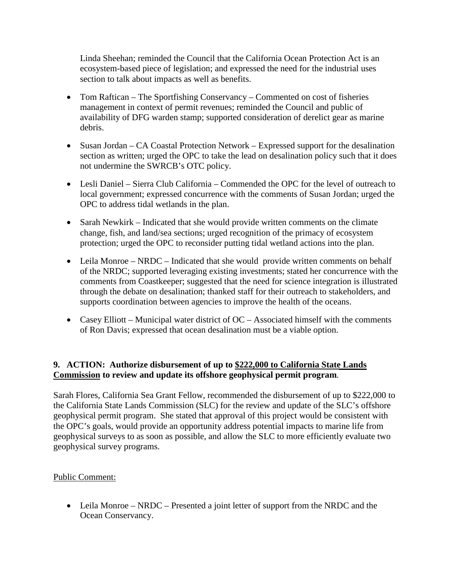Linda Sheehan; reminded the Council that the California Ocean Protection Act is an ecosystem-based piece of legislation; and expressed the need for the industrial uses section to talk about impacts as well as benefits.

- Tom Raftican The Sportfishing Conservancy Commented on cost of fisheries management in context of permit revenues; reminded the Council and public of availability of DFG warden stamp; supported consideration of derelict gear as marine debris.
- Susan Jordan CA Coastal Protection Network Expressed support for the desalination section as written; urged the OPC to take the lead on desalination policy such that it does not undermine the SWRCB's OTC policy.
- Lesli Daniel Sierra Club California Commended the OPC for the level of outreach to local government; expressed concurrence with the comments of Susan Jordan; urged the OPC to address tidal wetlands in the plan.
- Sarah Newkirk Indicated that she would provide written comments on the climate change, fish, and land/sea sections; urged recognition of the primacy of ecosystem protection; urged the OPC to reconsider putting tidal wetland actions into the plan.
- Leila Monroe NRDC Indicated that she would provide written comments on behalf of the NRDC; supported leveraging existing investments; stated her concurrence with the comments from Coastkeeper; suggested that the need for science integration is illustrated through the debate on desalination; thanked staff for their outreach to stakeholders, and supports coordination between agencies to improve the health of the oceans.
- Casey Elliott Municipal water district of OC Associated himself with the comments of Ron Davis; expressed that ocean desalination must be a viable option.

# **9. ACTION: Authorize disbursement of up to \$222,000 to [California](http://opc.ca.gov/webmaster/ftp/pdf/agenda_items/20110811/9.%20Geophysical%20permit/Aug2011_OPCMtg_Item09_Staff-Rec_FINAL.pdf) State Lands [Commission](http://opc.ca.gov/webmaster/ftp/pdf/agenda_items/20110811/9.%20Geophysical%20permit/Aug2011_OPCMtg_Item09_Staff-Rec_FINAL.pdf) to review and update its offshore geophysical permit program**.

Sarah Flores, California Sea Grant Fellow, recommended the disbursement of up to \$222,000 to the California State Lands Commission (SLC) for the review and update of the SLC's offshore geophysical permit program. She stated that approval of this project would be consistent with the OPC's goals, would provide an opportunity address potential impacts to marine life from geophysical surveys to as soon as possible, and allow the SLC to more efficiently evaluate two geophysical survey programs.

## Public Comment:

• Leila Monroe – NRDC – Presented a joint letter of support from the NRDC and the Ocean Conservancy.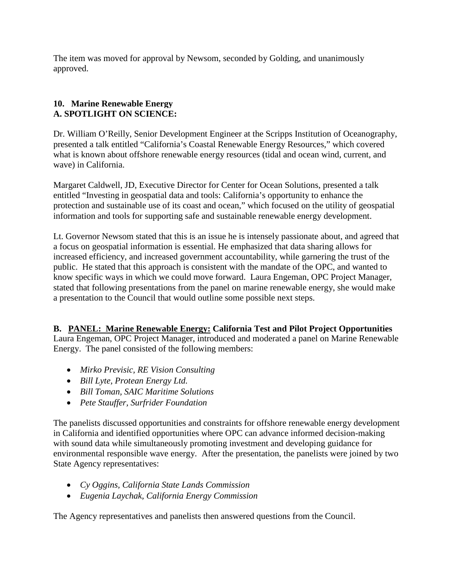The item was moved for approval by Newsom, seconded by Golding, and unanimously approved.

# **10. Marine Renewable Energy A. SPOTLIGHT ON SCIENCE:**

Dr. William O'Reilly, Senior Development Engineer at the Scripps Institution of Oceanography, presented a talk entitled "California's Coastal Renewable Energy Resources," which covered what is known about offshore renewable energy resources (tidal and ocean wind, current, and wave) in California.

Margaret Caldwell, JD, Executive Director for Center for Ocean Solutions, presented a talk entitled "Investing in geospatial data and tools: California's opportunity to enhance the protection and sustainable use of its coast and ocean," which focused on the utility of geospatial information and tools for supporting safe and sustainable renewable energy development.

Lt. Governor Newsom stated that this is an issue he is intensely passionate about, and agreed that a focus on geospatial information is essential. He emphasized that data sharing allows for increased efficiency, and increased government accountability, while garnering the trust of the public. He stated that this approach is consistent with the mandate of the OPC, and wanted to know specific ways in which we could move forward. Laura Engeman, OPC Project Manager, stated that following presentations from the panel on marine renewable energy, she would make a presentation to the Council that would outline some possible next steps.

# **B. PANEL: Marine [Renewable](http://www.opc.ca.gov/webmaster/ftp/pdf/agenda_items/20110811/10.%20Marine%20Renewable%20Energy/Aug2011_OPC_Hydrokinetic_Panel_Memo_Final.pdf) Energy: California Test and Pilot Project Opportunities**

Laura Engeman, OPC Project Manager, introduced and moderated a panel on Marine Renewable Energy. The panel consisted of the following members:

- *Mirko Previsic, RE Vision Consulting*
- *Bill Lyte, Protean Energy Ltd.*
- *Bill Toman, SAIC Maritime Solutions*
- *Pete Stauffer, Surfrider Foundation*

The panelists discussed opportunities and constraints for offshore renewable energy development in California and identified opportunities where OPC can advance informed decision-making with sound data while simultaneously promoting investment and developing guidance for environmental responsible wave energy. After the presentation, the panelists were joined by two State Agency representatives:

- *Cy Oggins, California State Lands Commission*
- *Eugenia Laychak, California Energy Commission*

The Agency representatives and panelists then answered questions from the Council.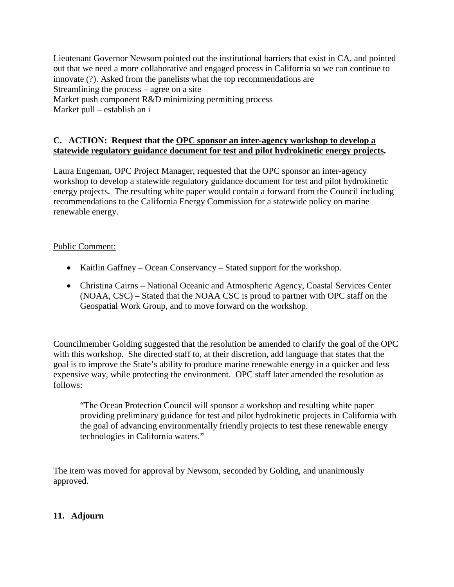Lieutenant Governor Newsom pointed out the institutional barriers that exist in CA, and pointed out that we need a more collaborative and engaged process in California so we can continue to innovate (?). Asked from the panelists what the top recommendations are Streamlining the process – agree on a site Market push component R&D minimizing permitting process Market pull – establish an i

#### **C.****ACTION: Request that the OPC sponsor an [inter-agency](http://www.opc.ca.gov/webmaster/ftp/pdf/agenda_items/20110811/10.%20Marine%20Renewable%20Energy/Aug2011_OPCMtg_Item10_Hydrokinetic_Memo_FINAL.pdf) workshop to develop a statewide regulatory guidance document for test and pilot [hydrokinetic](http://www.opc.ca.gov/webmaster/ftp/pdf/agenda_items/20110811/10.%20Marine%20Renewable%20Energy/Aug2011_OPCMtg_Item10_Hydrokinetic_Memo_FINAL.pdf) energy projects.**

Laura Engeman, OPC Project Manager, requested that the OPC sponsor an inter-agency workshop to develop a statewide regulatory guidance document for test and pilot hydrokinetic energy projects. The resulting white paper would contain a forward from the Council including recommendations to the California Energy Commission for a statewide policy on marine renewable energy.

# Public Comment:

- Kaitlin Gaffney Ocean Conservancy Stated support for the workshop.
- Christina Cairns National Oceanic and Atmospheric Agency, Coastal Services Center (NOAA, CSC) – Stated that the NOAA CSC is proud to partner with OPC staff on the Geospatial Work Group, and to move forward on the workshop.

Councilmember Golding suggested that the resolution be amended to clarify the goal of the OPC with this workshop. She directed staff to, at their discretion, add language that states that the goal is to improve the State's ability to produce marine renewable energy in a quicker and less expensive way, while protecting the environment. OPC staff later amended the resolution as follows:

"The Ocean Protection Council will sponsor a workshop and resulting white paper providing preliminary guidance for test and pilot hydrokinetic projects in California with the goal of advancing environmentally friendly projects to test these renewable energy technologies in California waters."

The item was moved for approval by Newsom, seconded by Golding, and unanimously approved.

## **11. Adjourn**